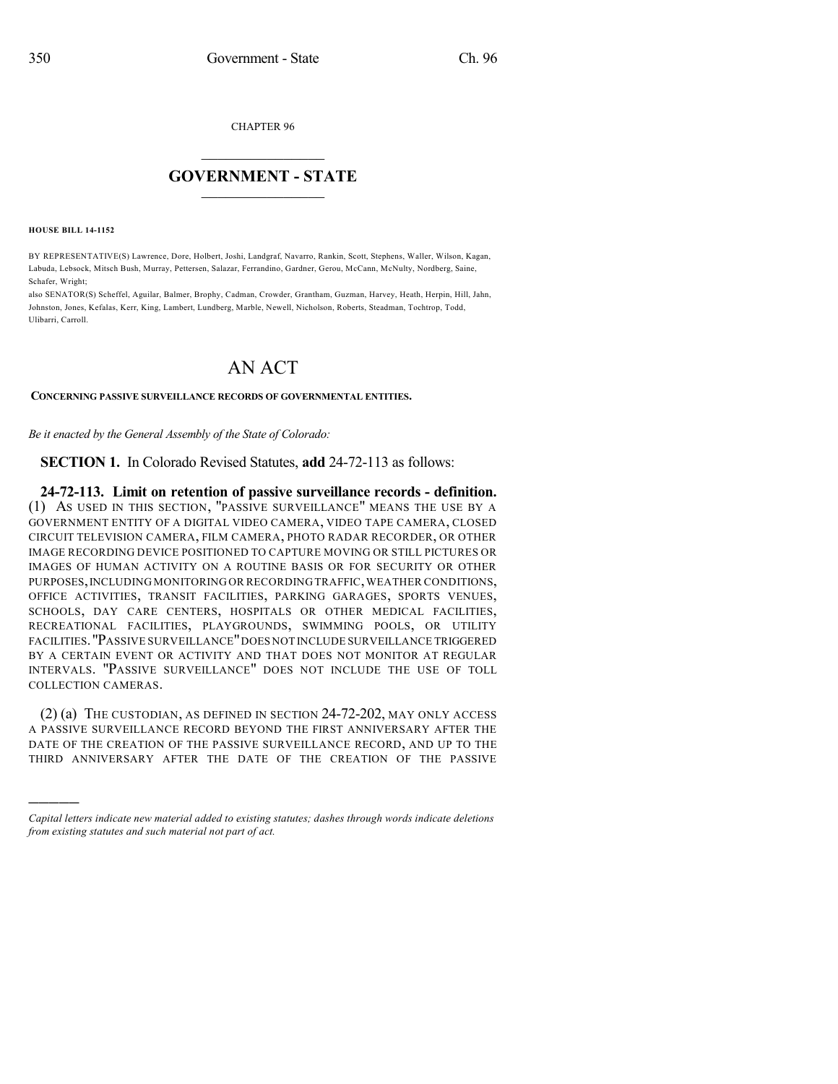CHAPTER 96

## $\mathcal{L}_\text{max}$  . The set of the set of the set of the set of the set of the set of the set of the set of the set of the set of the set of the set of the set of the set of the set of the set of the set of the set of the set **GOVERNMENT - STATE**  $\_$   $\_$   $\_$   $\_$   $\_$   $\_$   $\_$   $\_$   $\_$

**HOUSE BILL 14-1152**

)))))

BY REPRESENTATIVE(S) Lawrence, Dore, Holbert, Joshi, Landgraf, Navarro, Rankin, Scott, Stephens, Waller, Wilson, Kagan, Labuda, Lebsock, Mitsch Bush, Murray, Pettersen, Salazar, Ferrandino, Gardner, Gerou, McCann, McNulty, Nordberg, Saine, Schafer, Wright;

also SENATOR(S) Scheffel, Aguilar, Balmer, Brophy, Cadman, Crowder, Grantham, Guzman, Harvey, Heath, Herpin, Hill, Jahn, Johnston, Jones, Kefalas, Kerr, King, Lambert, Lundberg, Marble, Newell, Nicholson, Roberts, Steadman, Tochtrop, Todd, Ulibarri, Carroll.

## AN ACT

## **CONCERNING PASSIVE SURVEILLANCE RECORDS OF GOVERNMENTAL ENTITIES.**

*Be it enacted by the General Assembly of the State of Colorado:*

**SECTION 1.** In Colorado Revised Statutes, **add** 24-72-113 as follows:

**24-72-113. Limit on retention of passive surveillance records - definition.** (1) AS USED IN THIS SECTION, "PASSIVE SURVEILLANCE" MEANS THE USE BY A GOVERNMENT ENTITY OF A DIGITAL VIDEO CAMERA, VIDEO TAPE CAMERA, CLOSED CIRCUIT TELEVISION CAMERA, FILM CAMERA, PHOTO RADAR RECORDER, OR OTHER IMAGE RECORDING DEVICE POSITIONED TO CAPTURE MOVING OR STILL PICTURES OR IMAGES OF HUMAN ACTIVITY ON A ROUTINE BASIS OR FOR SECURITY OR OTHER PURPOSES, INCLUDING MONITORING OR RECORDING TRAFFIC, WEATHER CONDITIONS, OFFICE ACTIVITIES, TRANSIT FACILITIES, PARKING GARAGES, SPORTS VENUES, SCHOOLS, DAY CARE CENTERS, HOSPITALS OR OTHER MEDICAL FACILITIES, RECREATIONAL FACILITIES, PLAYGROUNDS, SWIMMING POOLS, OR UTILITY FACILITIES."PASSIVE SURVEILLANCE"DOES NOT INCLUDE SURVEILLANCE TRIGGERED BY A CERTAIN EVENT OR ACTIVITY AND THAT DOES NOT MONITOR AT REGULAR INTERVALS. "PASSIVE SURVEILLANCE" DOES NOT INCLUDE THE USE OF TOLL COLLECTION CAMERAS.

(2) (a) THE CUSTODIAN, AS DEFINED IN SECTION 24-72-202, MAY ONLY ACCESS A PASSIVE SURVEILLANCE RECORD BEYOND THE FIRST ANNIVERSARY AFTER THE DATE OF THE CREATION OF THE PASSIVE SURVEILLANCE RECORD, AND UP TO THE THIRD ANNIVERSARY AFTER THE DATE OF THE CREATION OF THE PASSIVE

*Capital letters indicate new material added to existing statutes; dashes through words indicate deletions from existing statutes and such material not part of act.*